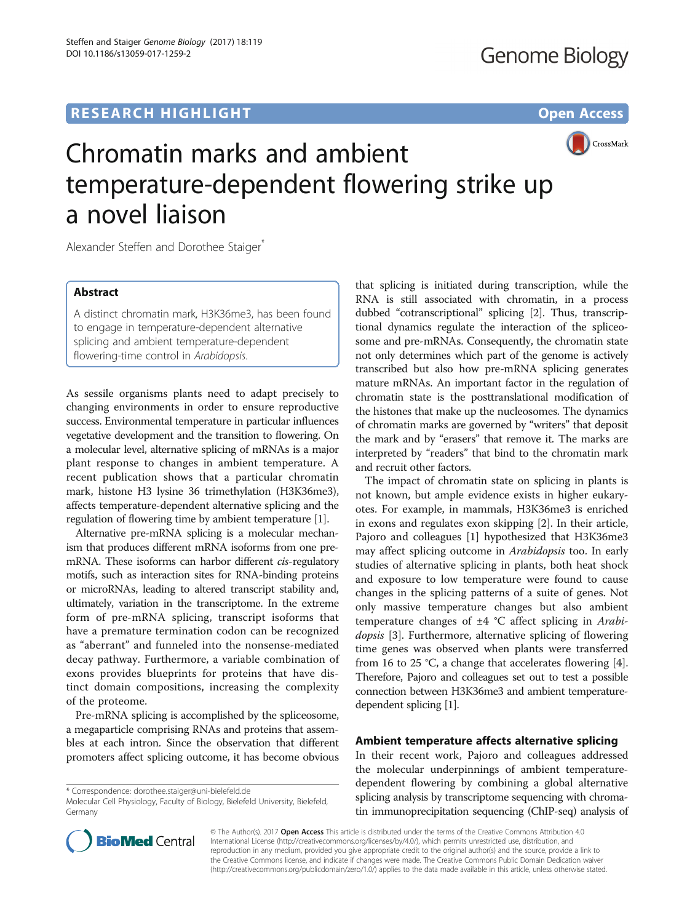# **RESEARCH HIGHLIGHT** THE OPEN ACCESS OPEN ACCESS



# Chromatin marks and ambient temperature-dependent flowering strike up a novel liaison

Alexander Steffen and Dorothee Staiger<sup>\*</sup>

# Abstract

A distinct chromatin mark, H3K36me3, has been found to engage in temperature-dependent alternative splicing and ambient temperature-dependent flowering-time control in Arabidopsis.

As sessile organisms plants need to adapt precisely to changing environments in order to ensure reproductive success. Environmental temperature in particular influences vegetative development and the transition to flowering. On a molecular level, alternative splicing of mRNAs is a major plant response to changes in ambient temperature. A recent publication shows that a particular chromatin mark, histone H3 lysine 36 trimethylation (H3K36me3), affects temperature-dependent alternative splicing and the regulation of flowering time by ambient temperature [\[1](#page-2-0)].

Alternative pre-mRNA splicing is a molecular mechanism that produces different mRNA isoforms from one premRNA. These isoforms can harbor different cis-regulatory motifs, such as interaction sites for RNA-binding proteins or microRNAs, leading to altered transcript stability and, ultimately, variation in the transcriptome. In the extreme form of pre-mRNA splicing, transcript isoforms that have a premature termination codon can be recognized as "aberrant" and funneled into the nonsense-mediated decay pathway. Furthermore, a variable combination of exons provides blueprints for proteins that have distinct domain compositions, increasing the complexity of the proteome.

Pre-mRNA splicing is accomplished by the spliceosome, a megaparticle comprising RNAs and proteins that assembles at each intron. Since the observation that different promoters affect splicing outcome, it has become obvious

\* Correspondence: [dorothee.staiger@uni-bielefeld.de](mailto:dorothee.staiger@uni-bielefeld.de)



The impact of chromatin state on splicing in plants is not known, but ample evidence exists in higher eukaryotes. For example, in mammals, H3K36me3 is enriched in exons and regulates exon skipping [[2\]](#page-2-0). In their article, Pajoro and colleagues [[1\]](#page-2-0) hypothesized that H3K36me3 may affect splicing outcome in Arabidopsis too. In early studies of alternative splicing in plants, both heat shock and exposure to low temperature were found to cause changes in the splicing patterns of a suite of genes. Not only massive temperature changes but also ambient temperature changes of  $\pm 4$  °C affect splicing in Arabi-dopsis [\[3](#page-2-0)]. Furthermore, alternative splicing of flowering time genes was observed when plants were transferred from 16 to 25 °C, a change that accelerates flowering [\[4](#page-2-0)]. Therefore, Pajoro and colleagues set out to test a possible connection between H3K36me3 and ambient temperaturedependent splicing [\[1\]](#page-2-0).

## Ambient temperature affects alternative splicing

In their recent work, Pajoro and colleagues addressed the molecular underpinnings of ambient temperaturedependent flowering by combining a global alternative splicing analysis by transcriptome sequencing with chromatin immunoprecipitation sequencing (ChIP-seq) analysis of



© The Author(s). 2017 Open Access This article is distributed under the terms of the Creative Commons Attribution 4.0 International License [\(http://creativecommons.org/licenses/by/4.0/](http://creativecommons.org/licenses/by/4.0/)), which permits unrestricted use, distribution, and reproduction in any medium, provided you give appropriate credit to the original author(s) and the source, provide a link to the Creative Commons license, and indicate if changes were made. The Creative Commons Public Domain Dedication waiver [\(http://creativecommons.org/publicdomain/zero/1.0/](http://creativecommons.org/publicdomain/zero/1.0/)) applies to the data made available in this article, unless otherwise stated.

Molecular Cell Physiology, Faculty of Biology, Bielefeld University, Bielefeld, Germany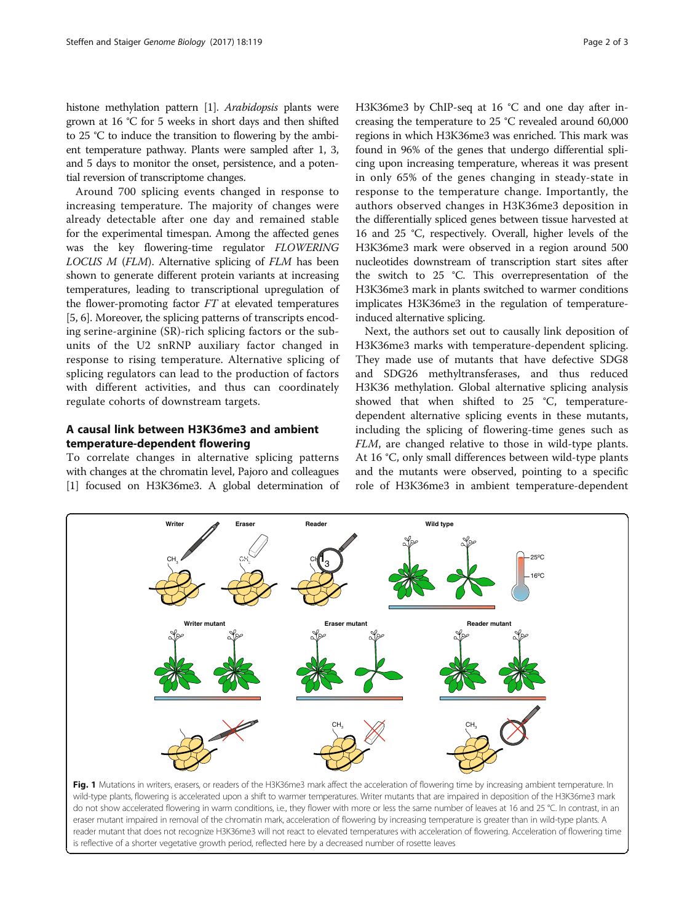<span id="page-1-0"></span>histone methylation pattern [[1\]](#page-2-0). Arabidopsis plants were grown at 16 °C for 5 weeks in short days and then shifted to 25 °C to induce the transition to flowering by the ambient temperature pathway. Plants were sampled after 1, 3, and 5 days to monitor the onset, persistence, and a potential reversion of transcriptome changes.

Around 700 splicing events changed in response to increasing temperature. The majority of changes were already detectable after one day and remained stable for the experimental timespan. Among the affected genes was the key flowering-time regulator FLOWERING LOCUS M (FLM). Alternative splicing of FLM has been shown to generate different protein variants at increasing temperatures, leading to transcriptional upregulation of the flower-promoting factor FT at elevated temperatures [[5, 6](#page-2-0)]. Moreover, the splicing patterns of transcripts encoding serine-arginine (SR)-rich splicing factors or the subunits of the U2 snRNP auxiliary factor changed in response to rising temperature. Alternative splicing of splicing regulators can lead to the production of factors with different activities, and thus can coordinately regulate cohorts of downstream targets.

# A causal link between H3K36me3 and ambient temperature-dependent flowering

To correlate changes in alternative splicing patterns with changes at the chromatin level, Pajoro and colleagues [[1\]](#page-2-0) focused on H3K36me3. A global determination of H3K36me3 by ChIP-seq at 16 °C and one day after increasing the temperature to 25 °C revealed around 60,000 regions in which H3K36me3 was enriched. This mark was found in 96% of the genes that undergo differential splicing upon increasing temperature, whereas it was present in only 65% of the genes changing in steady-state in response to the temperature change. Importantly, the authors observed changes in H3K36me3 deposition in the differentially spliced genes between tissue harvested at 16 and 25 °C, respectively. Overall, higher levels of the H3K36me3 mark were observed in a region around 500 nucleotides downstream of transcription start sites after the switch to 25 °C. This overrepresentation of the H3K36me3 mark in plants switched to warmer conditions implicates H3K36me3 in the regulation of temperatureinduced alternative splicing.

Next, the authors set out to causally link deposition of H3K36me3 marks with temperature-dependent splicing. They made use of mutants that have defective SDG8 and SDG26 methyltransferases, and thus reduced H3K36 methylation. Global alternative splicing analysis showed that when shifted to 25 °C, temperaturedependent alternative splicing events in these mutants, including the splicing of flowering-time genes such as FLM, are changed relative to those in wild-type plants. At 16 °C, only small differences between wild-type plants and the mutants were observed, pointing to a specific role of H3K36me3 in ambient temperature-dependent



**Writer Eraser Reader Wild type**